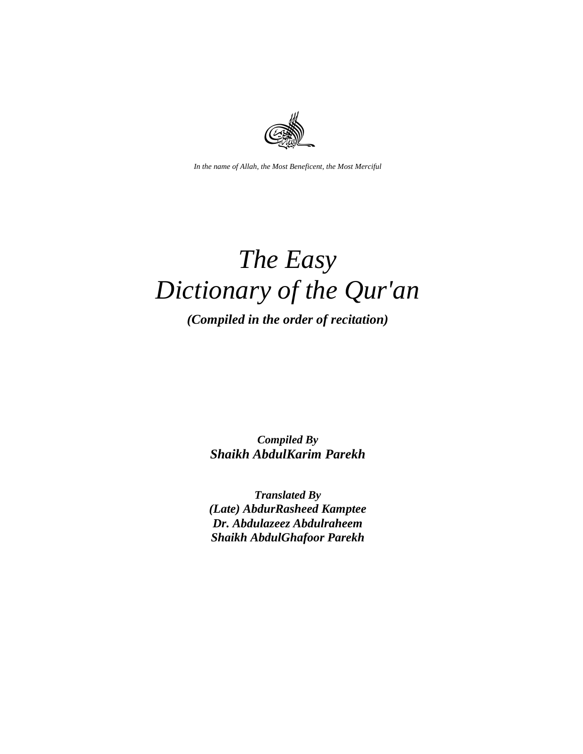

*In the name of Allah, the Most Beneficent, the Most Merciful*

# *The Easy Dictionary of the Qur'an (Compiled in the order of recitation)*

*Compiled By Shaikh AbdulKarim Parekh*

*Translated By (Late) AbdurRasheed Kamptee Dr. Abdulazeez Abdulraheem Shaikh AbdulGhafoor Parekh*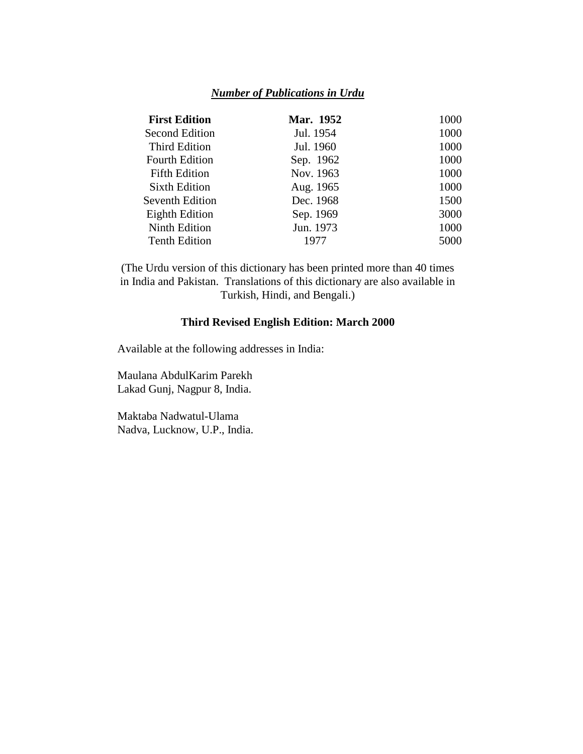### *Number of Publications in Urdu*

| <b>First Edition</b>  | Mar. 1952 | 1000 |
|-----------------------|-----------|------|
| <b>Second Edition</b> | Jul. 1954 | 1000 |
| Third Edition         | Jul. 1960 | 1000 |
| <b>Fourth Edition</b> | Sep. 1962 | 1000 |
| <b>Fifth Edition</b>  | Nov. 1963 | 1000 |
| <b>Sixth Edition</b>  | Aug. 1965 | 1000 |
| Seventh Edition       | Dec. 1968 | 1500 |
| Eighth Edition        | Sep. 1969 | 3000 |
| Ninth Edition         | Jun. 1973 | 1000 |
| <b>Tenth Edition</b>  | 1977      | 5000 |

(The Urdu version of this dictionary has been printed more than 40 times in India and Pakistan. Translations of this dictionary are also available in Turkish, Hindi, and Bengali.)

### **Third Revised English Edition: March 2000**

Available at the following addresses in India:

Maulana AbdulKarim Parekh Lakad Gunj, Nagpur 8, India.

Maktaba Nadwatul-Ulama Nadva, Lucknow, U.P., India.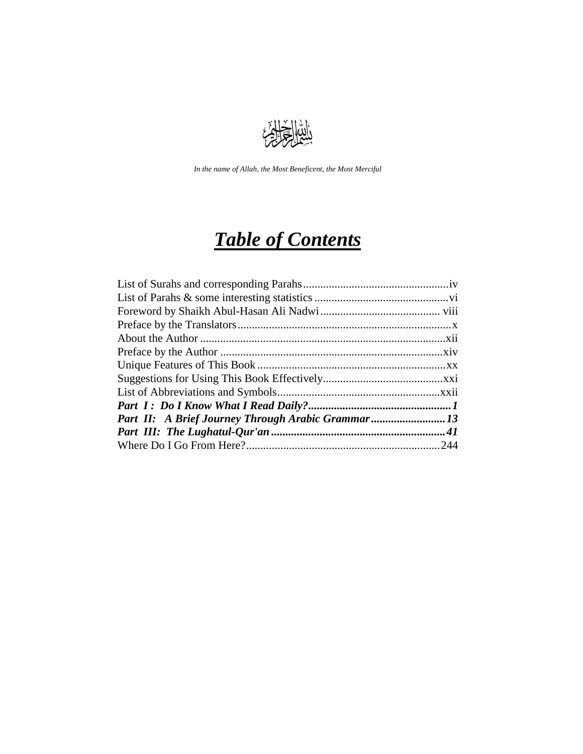

*In the name of Allah, the Most Beneficent, the Most Merciful*

# *Table of Contents*

| Part II: A Brief Journey Through Arabic Grammar13 |  |
|---------------------------------------------------|--|
|                                                   |  |
|                                                   |  |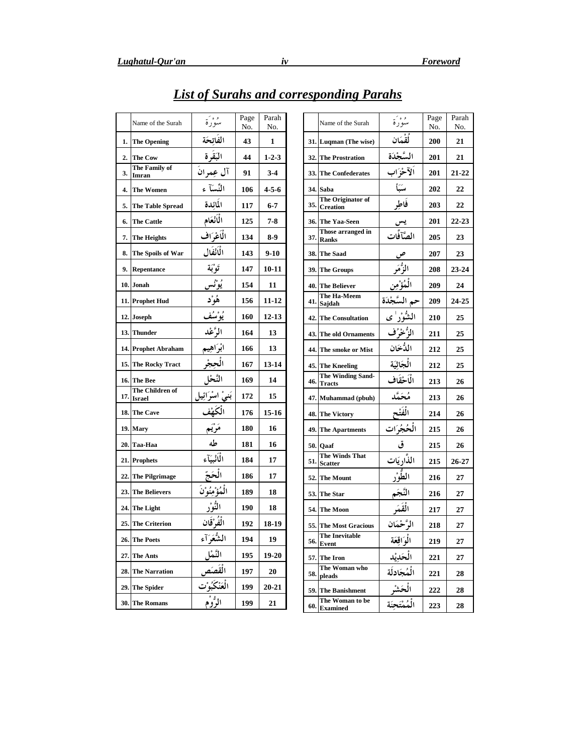|     | Name of the Surah                | وه کړ<br>سورة    | Page<br>No. | Parah<br>No. |
|-----|----------------------------------|------------------|-------------|--------------|
| 1.  | <b>The Opening</b>               | الفاتحة          | 43          | 1            |
| 2.  | <b>The Cow</b>                   | البَقَرة         | 44          | $1 - 2 - 3$  |
| 3.  | The Family of<br>Imran           | آل عِمرانَ       | 91          | $3-4$        |
| 4.  | <b>The Women</b>                 | النِّسَآ ء       | 106         | $4 - 5 - 6$  |
| 5.  | <b>The Table Spread</b>          | المائدة          | 117         | $6 - 7$      |
| 6.  | <b>The Cattle</b>                | الْأَنْعَام      | 125         | 7-8          |
| 7.  | <b>The Heights</b>               | الْمَوَاف        | 134         | 8-9          |
| 8.  | The Spoils of War                | الْمَنْفَال      | 143         | 9-10         |
| 9.  | Repentance                       | تَوْبَة          | 147         | $10 - 11$    |
|     | 10. Jonah                        | يُوثس            | 154         | 11           |
|     | 11. Prophet Hud                  | ۿؙوٌد            | 156         | $11 - 12$    |
|     | 12. Joseph                       | يُوْسُف          | 160         | 12-13        |
|     | 13. Thunder                      |                  | 164         | 13           |
|     | 14. Prophet Abraham              |                  | 166         | 13           |
| 15. | <b>The Rocky Tract</b>           |                  | 167         | 13-14        |
|     | 16. The Bee                      |                  | 169         | 14           |
| 17. | The Children of<br><b>Israel</b> | بَنيْ اسْرَائِيل | 172         | 15           |
| 18. | The Cave                         |                  | 176         | 15-16        |
|     | 19. Mary                         | مَرْيَم          | 180         | 16           |
| 20. | Taa-Haa                          | طه               | 181         | 16           |
|     | 21. Prophets                     | الْمَلَيْبِيَآءِ | 184         | 17           |
| 22. | <b>The Pilgrimage</b>            |                  | 186         | 17           |
| 23. | <b>The Believers</b>             | الْمُؤْمِنُوْنَ  | 189         | 18           |
| 24. | <b>The Light</b>                 |                  | 190         | 18           |
| 25. | <b>The Criterion</b>             | الْفُرْقَان      | 192         | 18-19        |
| 26. | <b>The Poets</b>                 | الشُعَرَآءِ      | 194         | 19           |
| 27. | <b>The Ants</b>                  |                  | 195         | 19-20        |
| 28. | <b>The Narration</b>             |                  | 197         | 20           |
| 29. | <b>The Spider</b>                |                  | 199         | $20 - 21$    |
| 30. | <b>The Romans</b>                |                  | 199         | 21           |

# *List of Surahs and corresponding Parahs*

|      | Name of the Surah                         | وه َ.<br>سورة           | Page<br>No. | Parah<br>No. |
|------|-------------------------------------------|-------------------------|-------------|--------------|
|      | 31. Luqman (The wise)                     | لُقْمَان                | 200         | 21           |
|      | 32. The Prostration                       | السَّجْدَة              | 201         | 21           |
|      | 33. The Confederates                      | الآخزاب                 | 201         | $21 - 22$    |
|      | 34. Saba                                  |                         | 202         | 22           |
| 35.  | The Originator of<br><b>Creation</b>      | فاط                     | 203         | 22           |
|      | 36. The Yaa-Seen                          | يس                      | 201         | $22 - 23$    |
| 37.  | Those arranged in<br>Ranks                | الصَّآفَات              | 205         | 23           |
|      | 38. The Saad                              |                         | 207         | 23           |
|      | 39. The Groups                            |                         | 208         | $23 - 24$    |
|      | 40. The Believer                          |                         | 209         | 24           |
| 41.  | The Ha-Meem<br>Sajdah                     | حم السَّجْدَة           | 209         | 24-25        |
|      | 42. The Consultation                      | الشُّوْر <sup>ا</sup> ي | 210         | 25           |
|      | 43. The old Ornaments                     | الزُّخْرُف              | 211         | 25           |
|      | 44. The smoke or Mist                     | الدُّخَان               | 212         | 25           |
| 45.1 | <b>The Kneeling</b>                       | الْجَاثِيَة             | 212         | 25           |
| 46.  | <b>The Winding Sand-</b><br><b>Tracts</b> | الْمَحْقَاف             | 213         | 26           |
|      | 47. Muhammad (pbuh)                       | مُحَمَّد                | 213         | 26           |
| 48.  | <b>The Victory</b>                        | الْفَتْح                | 214         | 26           |
|      | 49. The Apartments                        | الْحُجُرَات             | 215         | 26           |
|      | 50. Qaaf                                  | ق                       | 215         | 26           |
| 51.  | <b>The Winds That</b><br><b>Scatter</b>   | __<br>الذَّارِيَاتِ     | 215         | 26-27        |
| 52.  | <b>The Mount</b>                          | الطّوْر                 | 216         | 27           |
|      | 53. The Star                              | النَّجَ                 | 216         | 27           |
|      | 54. The Moon                              | الْقَمَر                | 217         | 27           |
| 55.  | <b>The Most Gracious</b>                  | الرَّحْمَان             | 218         | 27           |
| 56.  | The Inevitable<br><b>Event</b>            | الْوَاقِعَة             | 219         | 27           |
| 57.  | The Iron                                  | الْحَدْنْد              | 221         | 27           |
| 58.  | The Woman who<br>pleads                   | الْمُجَادلَة            | 221         | 28           |
| 59.  | <b>The Banishment</b>                     |                         | 222         | 28           |
| 60.  | The Woman to be<br><b>Examined</b>        | ه<br>متحنة              | 223         | 28           |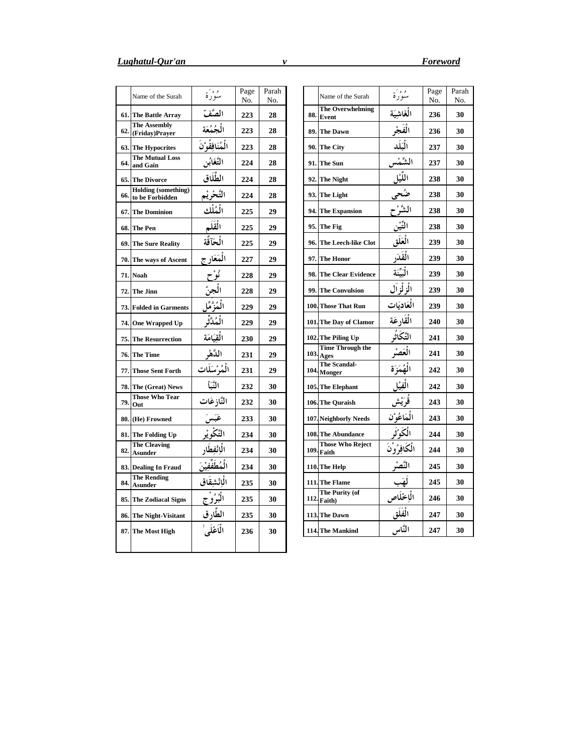#### *Lughatul-Qur'an v Foreword*

|       | Name of the Surah                             | وه کړ<br>سوره    | Page<br>No. | Parah<br>No. |
|-------|-----------------------------------------------|------------------|-------------|--------------|
|       | 61. The Battle Array                          | الصَّفّ          | 223         | 28           |
| 62. I | <b>The Assembly</b><br>(Friday)Prayer         | الْجُهُعَة       | 223         | 28           |
|       | 63. The Hypocrites                            | الْمُنَافِقَوْنَ | 223         | 28           |
| 64.   | <b>The Mutual Loss</b><br>and Gain            | التَّغَابُن      | 224         | 28           |
|       | 65. The Divorce                               | الطّلَاق         | 224         | 28           |
| 66.   | <b>Holding</b> (something)<br>to be Forbidden | التَحْرِيْم      | 224         | 28           |
|       | 67. The Dominion                              | الْمُلْك         | 225         | 29           |
| 68.   | <b>The Pen</b>                                | الْقَلَم         | 225         | 29           |
|       | 69. The Sure Reality                          | الحآقة           | 225         | 29           |
| 70.1  | The ways of Ascent                            | الْمَعَارِج      | 227         | 29           |
|       | 71. Noah                                      | ئو<br>ح          | 228         | 29           |
|       | 72. The Jinn                                  | الجنّ            | 228         | 29           |
|       | 73. Folded in Garments                        | الْمُزَّمِّل     | 229         | 29           |
|       | 74. One Wrapped Up                            | الْمُدَّثْو      | 229         | 29           |
|       | <b>75. The Resurrection</b>                   | القيامة          | 230         | 29           |
| 76.   | <b>The Time</b>                               | الدَّهْ,         | 231         | 29           |
|       | 77. Those Sent Forth                          | الْمُهْ سَلَات   | 231         | 29           |
| 78.I  | The (Great) News                              | النَّنَأ         | 232         | 30           |
| 79.   | <b>Those Who Tear</b><br>Out                  | النَّاز عَات     | 232         | 30           |
|       | 80. (He) Frowned                              |                  | 233         | 30           |
|       | 81. The Folding Up                            | التَّكُويْر      | 234         | 30           |
| 82.   | <b>The Cleaving</b><br><b>Asunder</b>         | الْانْفِطَار     | 234         | 30           |
|       | 83. Dealing In Fraud                          | الْمُطَفَّفِيْنَ | 234         | 30           |
| 84.   | <b>The Rending</b><br><b>Asunder</b>          | الْانْشِقاق      | 235         | 30           |
|       | 85. The Zodiacal Signs                        | الْبُرُوْج       | 235         | 30           |
|       | 86. The Night-Visitant                        | الطار ق          | 235         | 30           |
|       | 87. The Most High                             | الْمَالَمِي      | 236         | 30           |

|      | Name of the Surah                       | و و ً.<br>سورة  | Page<br>No. | Parah<br>No. |
|------|-----------------------------------------|-----------------|-------------|--------------|
| 88.  | <b>The Overwhelming</b><br><b>Event</b> | الْغَاشِيَة     | 236         | 30           |
| 89.  | <b>The Dawn</b>                         | الْفَجْ         | 236         | 30           |
| 90.  | The City                                | الْبَلَد        | 237         | 30           |
| 91.  | The Sun                                 | الشَّمْس        | 237         | 30           |
| 92.  | <b>The Night</b>                        | اللَّيْل        | 238         | 30           |
| 93.  | <b>The Light</b>                        |                 | 238         | 30           |
| 94.  | <b>The Expansion</b>                    | الشُّ           | 238         | 30           |
| 95.  | The Fig                                 | التِّيْن        | 238         | 30           |
| 96.  | The Leech-like Clot                     | الْعَلَق        | 239         | 30           |
| 97.  | <b>The Honor</b>                        | الْقَدَر        | 239         | 30           |
| 98.  | <b>The Clear Evidence</b>               | الْبَيَّنَة     | 239         | 30           |
| 99.  | <b>The Convulsion</b>                   | الْزِ لَّزِ اَل | 239         | 30           |
|      | 100. Those That Run                     | الْعَادِيَات    | 239         | 30           |
| 101. | The Day of Clamor                       | الْقَارِعَة     | 240         | 30           |
|      | 102. The Piling Up                      | التَّكَاثُر     | 241         | 30           |
| 103. | <b>Time Through the</b><br>Ages         | الْعَصْهْ       | 241         | 30           |
|      | <b>The Scandal-</b><br>104. Monger      | الْهُمَرَة      | 242         | 30           |
|      | 105. The Elephant                       | الفِيْل         | 242         | 30           |
|      | 106. The Quraish                        | قُوَيْش         | 243         | 30           |
|      | 107. Neighborly Needs                   | الْمَاعُوْن     | 243         | 30           |
|      | 108. The Abundance                      | الْكُوْثُو      | 244         | 30           |
| 109. | <b>Those Who Reject</b><br>Faith        | الْكَافِرُوْنَ  | 244         | 30           |
|      | 110. The Help                           | النَّصْد        | 245         | 30           |
|      | 111. The Flame                          |                 | 245         | 30           |
| 112. | The Purity (of<br>Faith)                | الْاخْلَاص      | 246         | 30           |
|      | 113. The Dawn                           | الْفَلَق        | 247         | 30           |
| 114. | <b>The Mankind</b>                      | النَّاس         | 247         | 30           |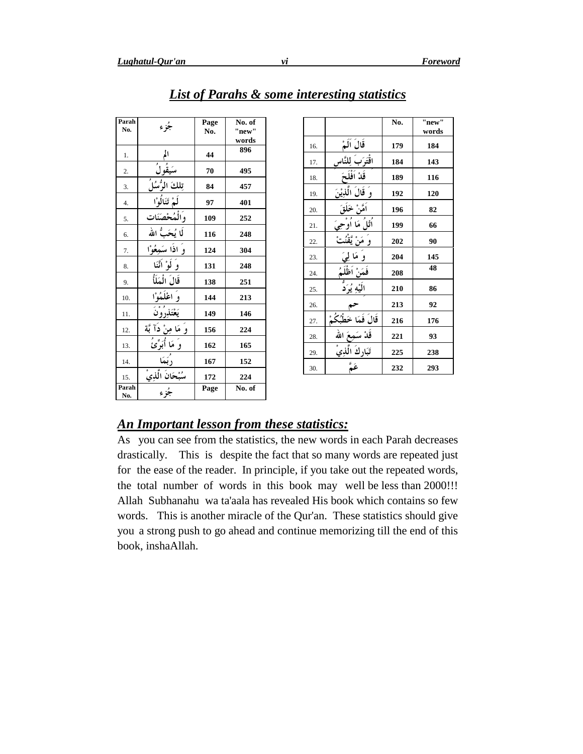| Parah            |                            |      | No. of |
|------------------|----------------------------|------|--------|
| No.              | لجزء                       | Page |        |
|                  |                            | No.  | "new"  |
|                  |                            |      | words  |
| 1.               |                            | 44   | 896    |
| $\mathbf{2}$     |                            | 70   | 495    |
| 3.               | تِلكَ الرُّسُلُ            | 84   | 457    |
| $\overline{4}$ . | ِ تَنَالُوْا               | 97   | 401    |
| 5.               | وَالْمُحْصَنَات            | 109  | 252    |
| 6.               | ٹٌ الله                    | 116  | 248    |
| 7.               | وَ اذَا سَمِعُوْا          | 124  | 304    |
| 8.               | وَ لَوْ اَنَّنَا           | 131  | 248    |
| 9.               | قَالَ الْمَلَأُ            | 138  | 251    |
| 10.              | وَ اعْلَمُوْا              | 144  | 213    |
| 11.              | يَعْتَذِرُوْنَ             | 149  | 146    |
| 12.              | وَ مَا مِنْ دَآ بَّة       | 156  | 224    |
| 13.              | <u>وَ مَا أُبَوِّئُ</u>    | 162  | 165    |
| 14.              | رُبَمَا                    | 167  | 152    |
| 15.              | <u>سُبْحَانَ الَّذِي</u> ْ | 172  | 224    |
| Parah<br>No.     | بر<br>جزء                  | Page | No. of |

### *List of Parahs & some interesting statistics*

|     |                                            | No. | "new" |
|-----|--------------------------------------------|-----|-------|
|     |                                            |     | words |
| 16. | قَالَ اَلَمْ                               | 179 | 184   |
| 17. | اڤْتَوَبَ لِل <u>نَّاس</u>                 | 184 | 143   |
| 18. | <u>ت</u><br>قَدْ اَفْلَحَ                  | 189 | 116   |
| 19. | وَ قَالَ الَّذِيْنَ                        | 192 | 120   |
| 20. | اَمَّنْ خَلْقَ                             | 196 | 82    |
| 21. | اُٿلُ مَا اُوْحِيَ                         | 199 | 66    |
| 22. |                                            | 202 | 90    |
| 23. | <u>و مَا لِيَ</u>                          | 204 | 145   |
| 24. |                                            | 208 | 48    |
| 25. | <u>فَمَنْ اَظْلَمُ</u><br>اَلَيْهِ يُرَدُّ | 210 | 86    |
| 26. |                                            | 213 | 92    |
| 27. | قَالَ فَمَا خ                              | 216 | 176   |
| 28. | َقَدْ سَمِعَ الله                          | 221 | 93    |
| 29. | تَبَارِكَ الَّذِي                          | 225 | 238   |
| 30. | عَهُ                                       | 232 | 293   |

### *An Important lesson from these statistics:*

As you can see from the statistics, the new words in each Parah decreases drastically. This is despite the fact that so many words are repeated just for the ease of the reader. In principle, if you take out the repeated words, the total number of words in this book may well be less than 2000!!! Allah Subhanahu wa ta'aala has revealed His book which contains so few words. This is another miracle of the Qur'an. These statistics should give you a strong push to go ahead and continue memorizing till the end of this book, inshaAllah.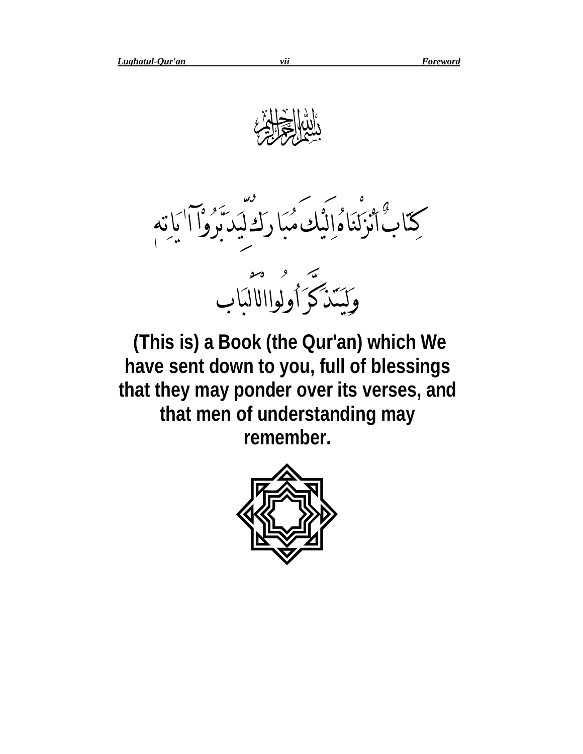





 **(This is) a Book (the Qur'an) which We have sent down to you, full of blessings that they may ponder over its verses, and that men of understanding may remember.**

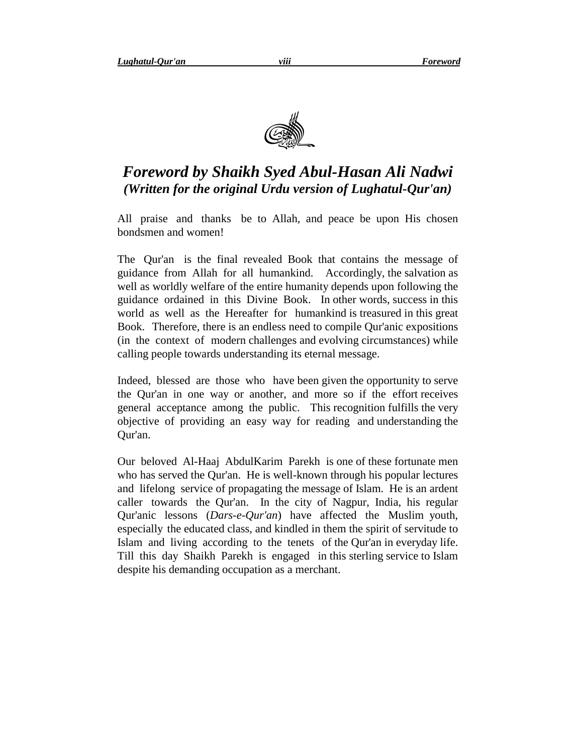

## *Foreword by Shaikh Syed Abul-Hasan Ali Nadwi (Written for the original Urdu version of Lughatul-Qur'an)*

All praise and thanks be to Allah, and peace be upon His chosen bondsmen and women!

The Qur'an is the final revealed Book that contains the message of guidance from Allah for all humankind. Accordingly, the salvation as well as worldly welfare of the entire humanity depends upon following the guidance ordained in this Divine Book. In other words, success in this world as well as the Hereafter for humankind is treasured in this great Book. Therefore, there is an endless need to compile Qur'anic expositions (in the context of modern challenges and evolving circumstances) while calling people towards understanding its eternal message.

Indeed, blessed are those who have been given the opportunity to serve the Qur'an in one way or another, and more so if the effort receives general acceptance among the public. This recognition fulfills the very objective of providing an easy way for reading and understanding the Qur'an.

Our beloved Al-Haaj AbdulKarim Parekh is one of these fortunate men who has served the Qur'an. He is well-known through his popular lectures and lifelong service of propagating the message of Islam. He is an ardent caller towards the Qur'an. In the city of Nagpur, India, his regular Qur'anic lessons (*Dars-e-Qur'an*) have affected the Muslim youth, especially the educated class, and kindled in them the spirit of servitude to Islam and living according to the tenets of the Qur'an in everyday life. Till this day Shaikh Parekh is engaged in this sterling service to Islam despite his demanding occupation as a merchant.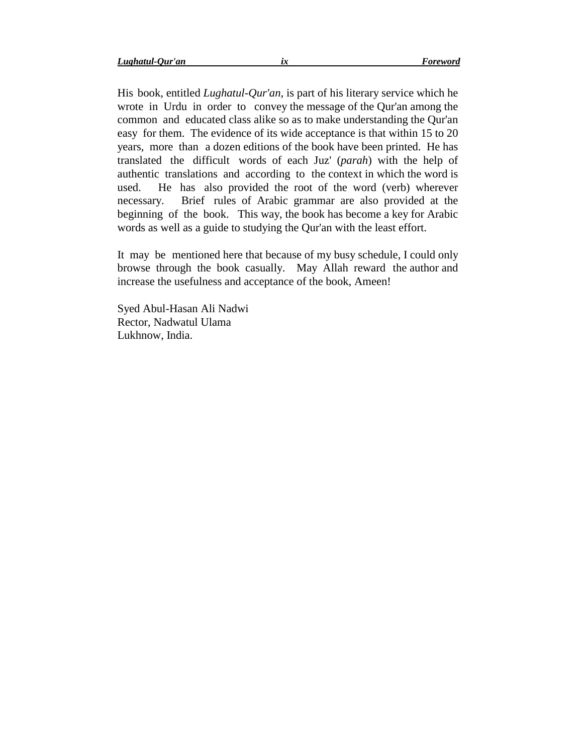*Lughatul-Qur'an ix Foreword*

His book, entitled *Lughatul-Qur'an*, is part of his literary service which he wrote in Urdu in order to convey the message of the Qur'an among the common and educated class alike so as to make understanding the Qur'an easy for them. The evidence of its wide acceptance is that within 15 to 20 years, more than a dozen editions of the book have been printed. He has translated the difficult words of each Juz' (*parah*) with the help of authentic translations and according to the context in which the word is used. He has also provided the root of the word (verb) wherever necessary. Brief rules of Arabic grammar are also provided at the beginning of the book. This way, the book has become a key for Arabic words as well as a guide to studying the Qur'an with the least effort.

It may be mentioned here that because of my busy schedule, I could only browse through the book casually. May Allah reward the author and increase the usefulness and acceptance of the book, Ameen!

Syed Abul-Hasan Ali Nadwi Rector, Nadwatul Ulama Lukhnow, India.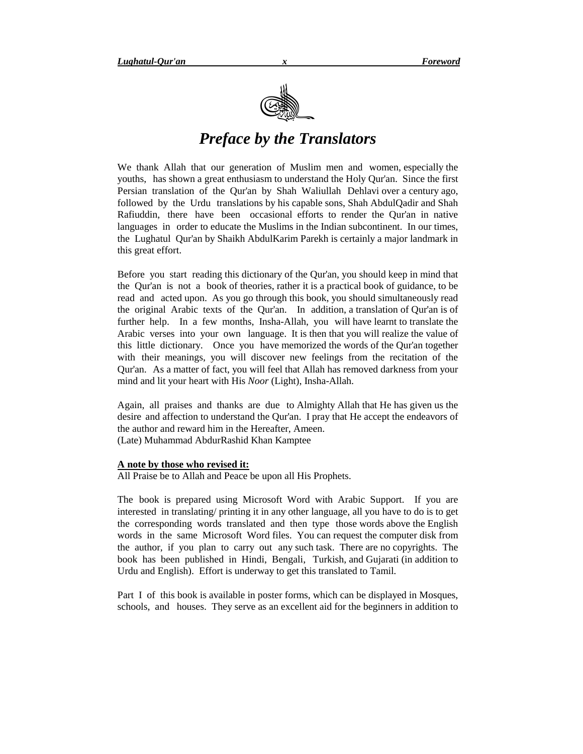

## *Preface by the Translators*

We thank Allah that our generation of Muslim men and women, especially the youths, has shown a great enthusiasm to understand the Holy Qur'an. Since the first Persian translation of the Qur'an by Shah Waliullah Dehlavi over a century ago, followed by the Urdu translations by his capable sons, Shah AbdulQadir and Shah Rafiuddin, there have been occasional efforts to render the Qur'an in native languages in order to educate the Muslims in the Indian subcontinent. In our times, the Lughatul Qur'an by Shaikh AbdulKarim Parekh is certainly a major landmark in this great effort.

Before you start reading this dictionary of the Qur'an, you should keep in mind that the Qur'an is not a book of theories, rather it is a practical book of guidance, to be read and acted upon. As you go through this book, you should simultaneously read the original Arabic texts of the Qur'an. In addition, a translation of Qur'an is of further help. In a few months, Insha-Allah, you will have learnt to translate the Arabic verses into your own language. It is then that you will realize the value of this little dictionary. Once you have memorized the words of the Qur'an together with their meanings, you will discover new feelings from the recitation of the Qur'an. As a matter of fact, you will feel that Allah has removed darkness from your mind and lit your heart with His *Noor* (Light), Insha-Allah.

Again, all praises and thanks are due to Almighty Allah that He has given us the desire and affection to understand the Qur'an. I pray that He accept the endeavors of the author and reward him in the Hereafter, Ameen. (Late) Muhammad AbdurRashid Khan Kamptee

#### **A note by those who revised it:**

All Praise be to Allah and Peace be upon all His Prophets.

The book is prepared using Microsoft Word with Arabic Support. If you are interested in translating/ printing it in any other language, all you have to do is to get the corresponding words translated and then type those words above the English words in the same Microsoft Word files. You can request the computer disk from the author, if you plan to carry out any such task. There are no copyrights. The book has been published in Hindi, Bengali, Turkish, and Gujarati (in addition to Urdu and English). Effort is underway to get this translated to Tamil.

Part I of this book is available in poster forms, which can be displayed in Mosques, schools, and houses. They serve as an excellent aid for the beginners in addition to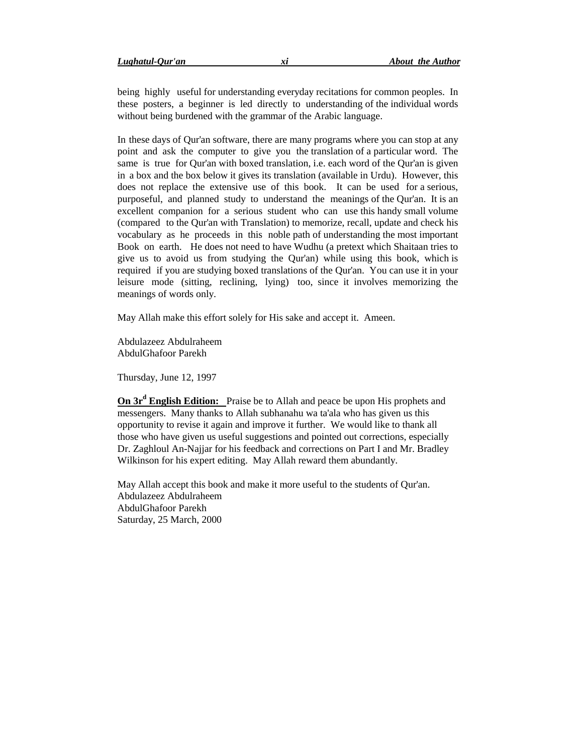being highly useful for understanding everyday recitations for common peoples. In these posters, a beginner is led directly to understanding of the individual words without being burdened with the grammar of the Arabic language.

In these days of Qur'an software, there are many programs where you can stop at any point and ask the computer to give you the translation of a particular word. The same is true for Qur'an with boxed translation, i.e. each word of the Qur'an is given in a box and the box below it gives its translation (available in Urdu). However, this does not replace the extensive use of this book. It can be used for a serious, purposeful, and planned study to understand the meanings of the Qur'an. It is an excellent companion for a serious student who can use this handy small volume (compared to the Qur'an with Translation) to memorize, recall, update and check his vocabulary as he proceeds in this noble path of understanding the most important Book on earth. He does not need to have Wudhu (a pretext which Shaitaan tries to give us to avoid us from studying the Qur'an) while using this book, which is required if you are studying boxed translations of the Qur'an. You can use it in your leisure mode (sitting, reclining, lying) too, since it involves memorizing the meanings of words only.

May Allah make this effort solely for His sake and accept it. Ameen.

Abdulazeez Abdulraheem AbdulGhafoor Parekh

Thursday, June 12, 1997

**On 3r<sup>d</sup> English Edition:** Praise be to Allah and peace be upon His prophets and messengers. Many thanks to Allah subhanahu wa ta'ala who has given us this opportunity to revise it again and improve it further. We would like to thank all those who have given us useful suggestions and pointed out corrections, especially Dr. Zaghloul An-Najjar for his feedback and corrections on Part I and Mr. Bradley Wilkinson for his expert editing. May Allah reward them abundantly.

May Allah accept this book and make it more useful to the students of Qur'an. Abdulazeez Abdulraheem AbdulGhafoor Parekh Saturday, 25 March, 2000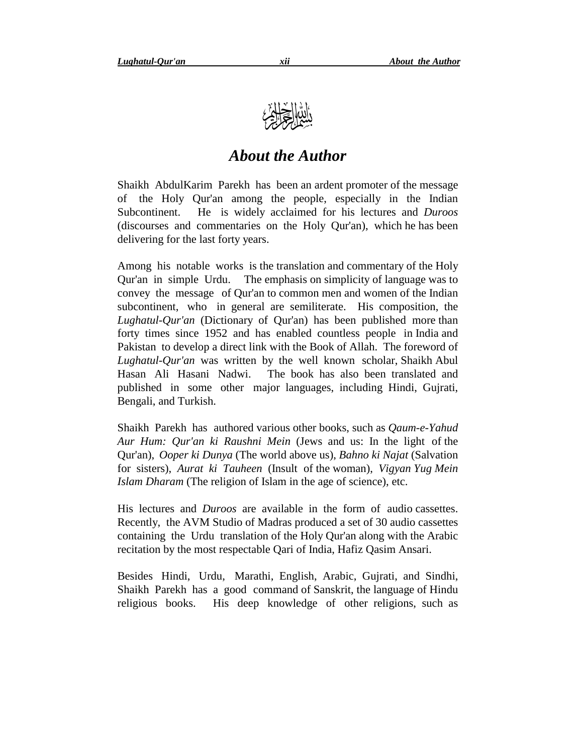

### *About the Author*

Shaikh AbdulKarim Parekh has been an ardent promoter of the message of the Holy Qur'an among the people, especially in the Indian Subcontinent. He is widely acclaimed for his lectures and *Duroos* (discourses and commentaries on the Holy Qur'an), which he has been delivering for the last forty years.

Among his notable works is the translation and commentary of the Holy Qur'an in simple Urdu. The emphasis on simplicity of language was to convey the message of Qur'an to common men and women of the Indian subcontinent, who in general are semiliterate. His composition, the *Lughatul-Qur'an* (Dictionary of Qur'an) has been published more than forty times since 1952 and has enabled countless people in India and Pakistan to develop a direct link with the Book of Allah. The foreword of *Lughatul-Qur'an* was written by the well known scholar, Shaikh Abul Hasan Ali Hasani Nadwi. The book has also been translated and published in some other major languages, including Hindi, Gujrati, Bengali, and Turkish.

Shaikh Parekh has authored various other books, such as *Qaum-e-Yahud Aur Hum: Qur'an ki Raushni Mein* (Jews and us: In the light of the Qur'an), *Ooper ki Dunya* (The world above us), *Bahno ki Najat* (Salvation for sisters), *Aurat ki Tauheen* (Insult of the woman), *Vigyan Yug Mein Islam Dharam* (The religion of Islam in the age of science), etc.

His lectures and *Duroos* are available in the form of audio cassettes. Recently, the AVM Studio of Madras produced a set of 30 audio cassettes containing the Urdu translation of the Holy Qur'an along with the Arabic recitation by the most respectable Qari of India, Hafiz Qasim Ansari.

Besides Hindi, Urdu, Marathi, English, Arabic, Gujrati, and Sindhi, Shaikh Parekh has a good command of Sanskrit, the language of Hindu religious books. His deep knowledge of other religions, such as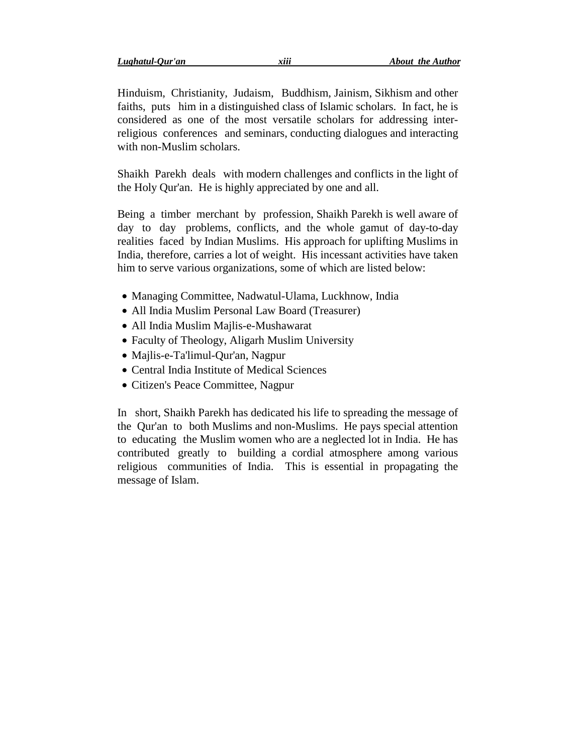Hinduism, Christianity, Judaism, Buddhism, Jainism, Sikhism and other faiths, puts him in a distinguished class of Islamic scholars. In fact, he is considered as one of the most versatile scholars for addressing interreligious conferences and seminars, conducting dialogues and interacting with non-Muslim scholars.

Shaikh Parekh deals with modern challenges and conflicts in the light of the Holy Qur'an. He is highly appreciated by one and all.

Being a timber merchant by profession, Shaikh Parekh is well aware of day to day problems, conflicts, and the whole gamut of day-to-day realities faced by Indian Muslims. His approach for uplifting Muslims in India, therefore, carries a lot of weight. His incessant activities have taken him to serve various organizations, some of which are listed below:

- Managing Committee, Nadwatul-Ulama, Luckhnow, India
- All India Muslim Personal Law Board (Treasurer)
- All India Muslim Majlis-e-Mushawarat
- Faculty of Theology, Aligarh Muslim University
- Majlis-e-Ta'limul-Qur'an, Nagpur
- Central India Institute of Medical Sciences
- Citizen's Peace Committee, Nagpur

In short, Shaikh Parekh has dedicated his life to spreading the message of the Qur'an to both Muslims and non-Muslims. He pays special attention to educating the Muslim women who are a neglected lot in India. He has contributed greatly to building a cordial atmosphere among various religious communities of India. This is essential in propagating the message of Islam.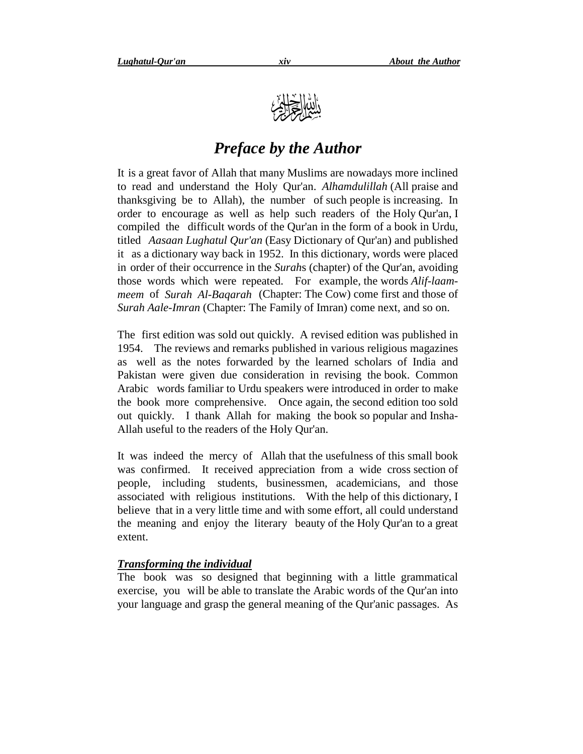

### *Preface by the Author*

It is a great favor of Allah that many Muslims are nowadays more inclined to read and understand the Holy Qur'an. *Alhamdulillah* (All praise and thanksgiving be to Allah), the number of such people is increasing. In order to encourage as well as help such readers of the Holy Qur'an, I compiled the difficult words of the Qur'an in the form of a book in Urdu, titled *Aasaan Lughatul Qur'an* (Easy Dictionary of Qur'an) and published it as a dictionary way back in 1952. In this dictionary, words were placed in order of their occurrence in the *Surah*s (chapter) of the Qur'an, avoiding those words which were repeated. For example, the words *Alif-laammeem* of *Surah Al-Baqarah* (Chapter: The Cow) come first and those of *Surah Aale-Imran* (Chapter: The Family of Imran) come next, and so on.

The first edition was sold out quickly. A revised edition was published in 1954. The reviews and remarks published in various religious magazines as well as the notes forwarded by the learned scholars of India and Pakistan were given due consideration in revising the book. Common Arabic words familiar to Urdu speakers were introduced in order to make the book more comprehensive. Once again, the second edition too sold out quickly. I thank Allah for making the book so popular and Insha-Allah useful to the readers of the Holy Qur'an.

It was indeed the mercy of Allah that the usefulness of this small book was confirmed. It received appreciation from a wide cross section of people, including students, businessmen, academicians, and those associated with religious institutions. With the help of this dictionary, I believe that in a very little time and with some effort, all could understand the meaning and enjoy the literary beauty of the Holy Qur'an to a great extent.

#### *Transforming the individual*

The book was so designed that beginning with a little grammatical exercise, you will be able to translate the Arabic words of the Qur'an into your language and grasp the general meaning of the Qur'anic passages. As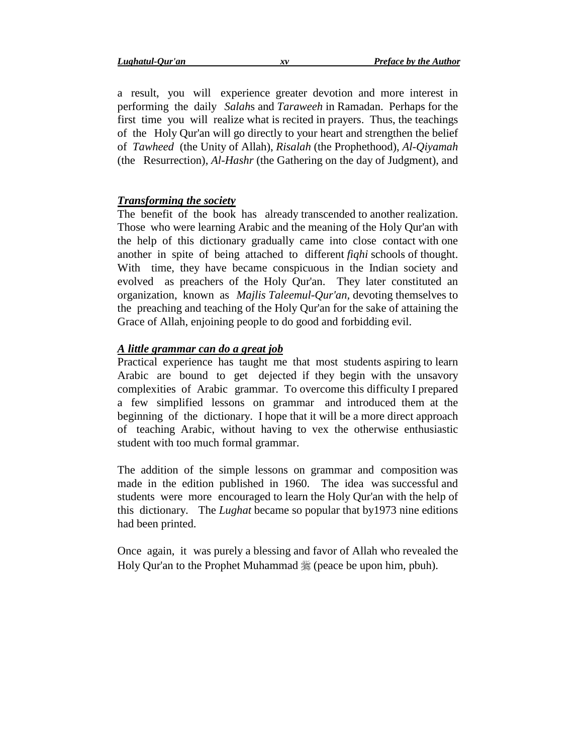a result, you will experience greater devotion and more interest in performing the daily *Salah*s and *Taraweeh* in Ramadan. Perhaps for the first time you will realize what is recited in prayers. Thus, the teachings of the Holy Qur'an will go directly to your heart and strengthen the belief of *Tawheed* (the Unity of Allah), *Risalah* (the Prophethood), *Al-Qiyamah* (the Resurrection), *Al-Hashr* (the Gathering on the day of Judgment), and

#### *Transforming the society*

The benefit of the book has already transcended to another realization. Those who were learning Arabic and the meaning of the Holy Qur'an with the help of this dictionary gradually came into close contact with one another in spite of being attached to different *fiqhi* schools of thought. With time, they have became conspicuous in the Indian society and evolved as preachers of the Holy Qur'an. They later constituted an organization, known as *Majlis Taleemul-Qur'an,* devoting themselves to the preaching and teaching of the Holy Qur'an for the sake of attaining the Grace of Allah, enjoining people to do good and forbidding evil.

#### *A little grammar can do a great job*

Practical experience has taught me that most students aspiring to learn Arabic are bound to get dejected if they begin with the unsavory complexities of Arabic grammar. To overcome this difficulty I prepared a few simplified lessons on grammar and introduced them at the beginning of the dictionary. I hope that it will be a more direct approach of teaching Arabic, without having to vex the otherwise enthusiastic student with too much formal grammar.

The addition of the simple lessons on grammar and composition was made in the edition published in 1960. The idea was successful and students were more encouraged to learn the Holy Qur'an with the help of this dictionary. The *Lughat* became so popular that by1973 nine editions had been printed.

Once again, it was purely a blessing and favor of Allah who revealed the Holy Qur'an to the Prophet Muhammad  $\frac{160}{26}$  (peace be upon him, pbuh).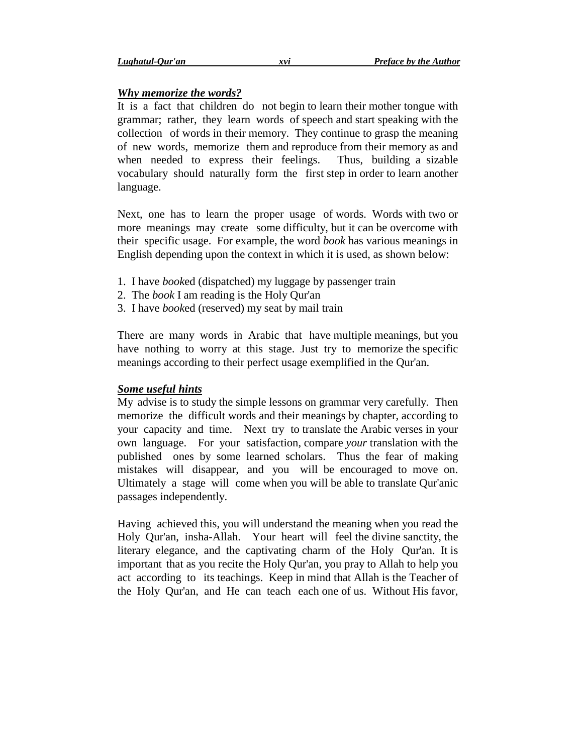#### *Why memorize the words?*

It is a fact that children do not begin to learn their mother tongue with grammar; rather, they learn words of speech and start speaking with the collection of words in their memory. They continue to grasp the meaning of new words, memorize them and reproduce from their memory as and when needed to express their feelings. Thus, building a sizable vocabulary should naturally form the first step in order to learn another language.

Next, one has to learn the proper usage of words. Words with two or more meanings may create some difficulty, but it can be overcome with their specific usage. For example, the word *book* has various meanings in English depending upon the context in which it is used, as shown below:

- 1. I have *book*ed (dispatched) my luggage by passenger train
- 2. The *book* I am reading is the Holy Qur'an
- 3. I have *book*ed (reserved) my seat by mail train

There are many words in Arabic that have multiple meanings, but you have nothing to worry at this stage. Just try to memorize the specific meanings according to their perfect usage exemplified in the Qur'an.

#### *Some useful hints*

My advise is to study the simple lessons on grammar very carefully. Then memorize the difficult words and their meanings by chapter, according to your capacity and time. Next try to translate the Arabic verses in your own language. For your satisfaction, compare *your* translation with the published ones by some learned scholars. Thus the fear of making mistakes will disappear, and you will be encouraged to move on. Ultimately a stage will come when you will be able to translate Qur'anic passages independently.

Having achieved this, you will understand the meaning when you read the Holy Qur'an, insha-Allah. Your heart will feel the divine sanctity, the literary elegance, and the captivating charm of the Holy Qur'an. It is important that as you recite the Holy Qur'an, you pray to Allah to help you act according to its teachings. Keep in mind that Allah is the Teacher of the Holy Qur'an, and He can teach each one of us. Without His favor,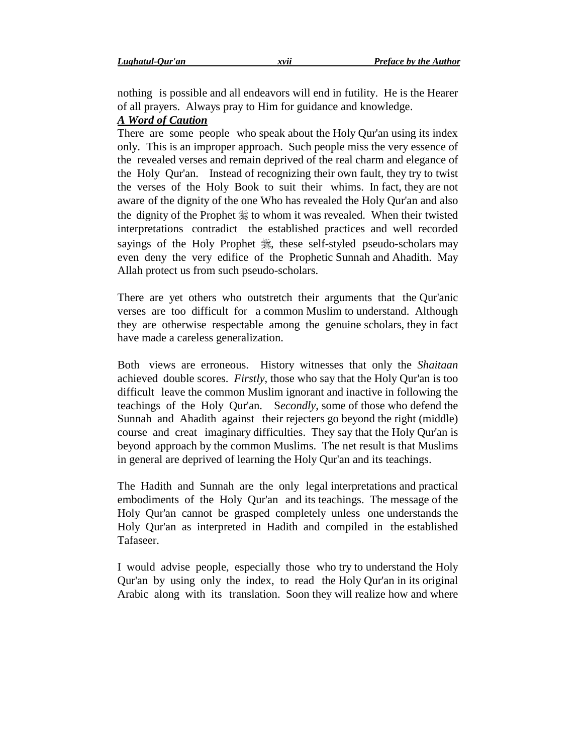nothing is possible and all endeavors will end in futility. He is the Hearer of all prayers. Always pray to Him for guidance and knowledge.

#### *A Word of Caution*

There are some people who speak about the Holy Qur'an using its index only. This is an improper approach. Such people miss the very essence of the revealed verses and remain deprived of the real charm and elegance of the Holy Qur'an. Instead of recognizing their own fault, they try to twist the verses of the Holy Book to suit their whims. In fact, they are not aware of the dignity of the one Who has revealed the Holy Qur'an and also the dignity of the Prophet  $\frac{1}{200}$  to whom it was revealed. When their twisted interpretations contradict the established practices and well recorded sayings of the Holy Prophet  $\frac{166}{25}$ , these self-styled pseudo-scholars may even deny the very edifice of the Prophetic Sunnah and Ahadith. May Allah protect us from such pseudo-scholars.

There are yet others who outstretch their arguments that the Qur'anic verses are too difficult for a common Muslim to understand. Although they are otherwise respectable among the genuine scholars, they in fact have made a careless generalization.

Both views are erroneous. History witnesses that only the *Shaitaan* achieved double scores. *Firstly*, those who say that the Holy Qur'an is too difficult leave the common Muslim ignorant and inactive in following the teachings of the Holy Qur'an. S*econdly*, some of those who defend the Sunnah and Ahadith against their rejecters go beyond the right (middle) course and creat imaginary difficulties. They say that the Holy Qur'an is beyond approach by the common Muslims. The net result is that Muslims in general are deprived of learning the Holy Qur'an and its teachings.

The Hadith and Sunnah are the only legal interpretations and practical embodiments of the Holy Qur'an and its teachings. The message of the Holy Qur'an cannot be grasped completely unless one understands the Holy Qur'an as interpreted in Hadith and compiled in the established Tafaseer.

I would advise people, especially those who try to understand the Holy Qur'an by using only the index, to read the Holy Qur'an in its original Arabic along with its translation. Soon they will realize how and where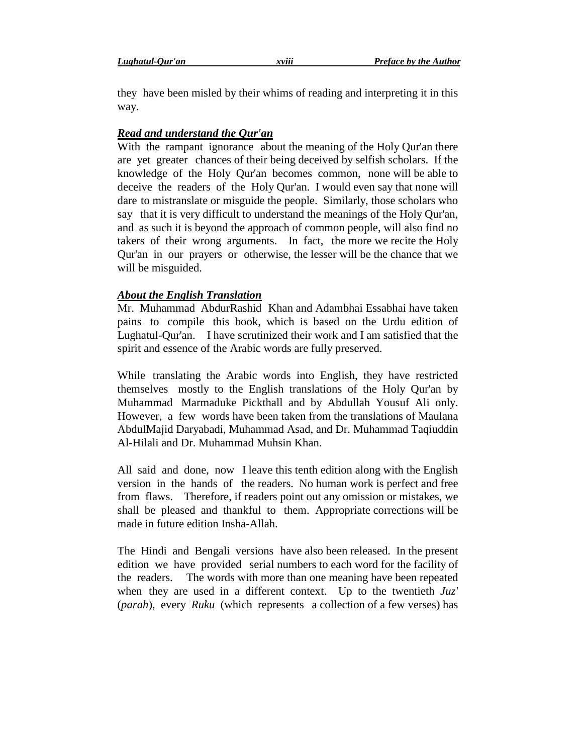| Lughatul-Qur'an |  |
|-----------------|--|
|                 |  |

they have been misled by their whims of reading and interpreting it in this way.

#### *Read and understand the Qur'an*

With the rampant ignorance about the meaning of the Holy Qur'an there are yet greater chances of their being deceived by selfish scholars. If the knowledge of the Holy Qur'an becomes common, none will be able to deceive the readers of the Holy Qur'an. I would even say that none will dare to mistranslate or misguide the people. Similarly, those scholars who say that it is very difficult to understand the meanings of the Holy Qur'an, and as such it is beyond the approach of common people, will also find no takers of their wrong arguments. In fact, the more we recite the Holy Qur'an in our prayers or otherwise, the lesser will be the chance that we will be misguided.

#### *About the English Translation*

Mr. Muhammad AbdurRashid Khan and Adambhai Essabhai have taken pains to compile this book, which is based on the Urdu edition of Lughatul-Qur'an. I have scrutinized their work and I am satisfied that the spirit and essence of the Arabic words are fully preserved.

While translating the Arabic words into English, they have restricted themselves mostly to the English translations of the Holy Qur'an by Muhammad Marmaduke Pickthall and by Abdullah Yousuf Ali only. However, a few words have been taken from the translations of Maulana AbdulMajid Daryabadi, Muhammad Asad, and Dr. Muhammad Taqiuddin Al-Hilali and Dr. Muhammad Muhsin Khan.

All said and done, now I leave this tenth edition along with the English version in the hands of the readers. No human work is perfect and free from flaws. Therefore, if readers point out any omission or mistakes, we shall be pleased and thankful to them. Appropriate corrections will be made in future edition Insha-Allah.

The Hindi and Bengali versions have also been released. In the present edition we have provided serial numbers to each word for the facility of the readers. The words with more than one meaning have been repeated when they are used in a different context. Up to the twentieth *Juz'* (*parah*), every *Ruku* (which represents a collection of a few verses) has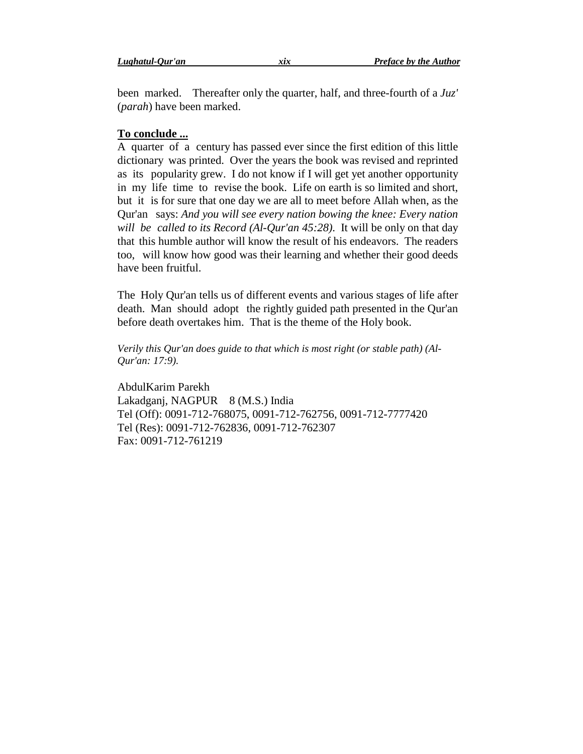| Lughatul-Qur'an |  |
|-----------------|--|
|                 |  |

been marked. Thereafter only the quarter, half, and three-fourth of a *Juz'* (*parah*) have been marked.

#### **To conclude ...**

A quarter of a century has passed ever since the first edition of this little dictionary was printed. Over the years the book was revised and reprinted as its popularity grew. I do not know if I will get yet another opportunity in my life time to revise the book. Life on earth is so limited and short, but it is for sure that one day we are all to meet before Allah when, as the Qur'an says: *And you will see every nation bowing the knee: Every nation will be called to its Record (Al-Qur'an 45:28)*. It will be only on that day that this humble author will know the result of his endeavors. The readers too, will know how good was their learning and whether their good deeds have been fruitful.

The Holy Qur'an tells us of different events and various stages of life after death. Man should adopt the rightly guided path presented in the Qur'an before death overtakes him. That is the theme of the Holy book.

*Verily this Qur'an does guide to that which is most right (or stable path) (Al-Qur'an: 17:9).*

AbdulKarim Parekh Lakadganj, NAGPUR 8 (M.S.) India Tel (Off): 0091-712-768075, 0091-712-762756, 0091-712-7777420 Tel (Res): 0091-712-762836, 0091-712-762307 Fax: 0091-712-761219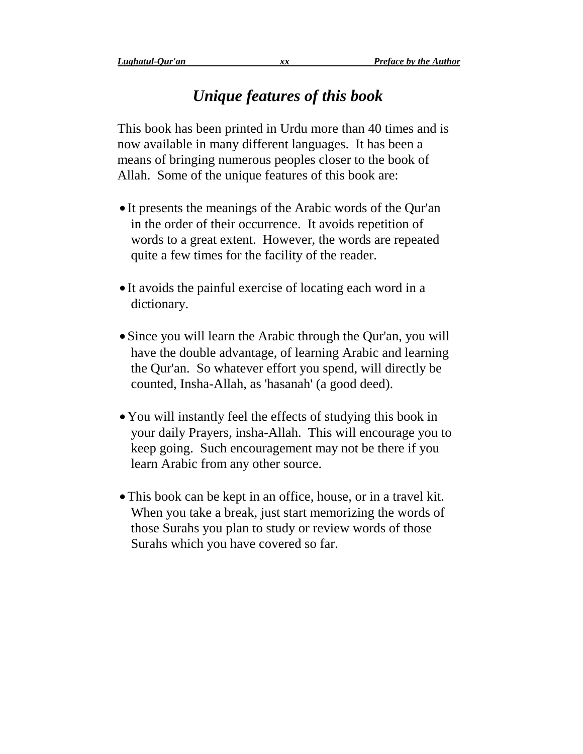## *Unique features of this book*

This book has been printed in Urdu more than 40 times and is now available in many different languages. It has been a means of bringing numerous peoples closer to the book of Allah. Some of the unique features of this book are:

- It presents the meanings of the Arabic words of the Qur'an in the order of their occurrence. It avoids repetition of words to a great extent. However, the words are repeated quite a few times for the facility of the reader.
- It avoids the painful exercise of locating each word in a dictionary.
- Since you will learn the Arabic through the Qur'an, you will have the double advantage, of learning Arabic and learning the Qur'an. So whatever effort you spend, will directly be counted, Insha-Allah, as 'hasanah' (a good deed).
- You will instantly feel the effects of studying this book in your daily Prayers, insha-Allah. This will encourage you to keep going. Such encouragement may not be there if you learn Arabic from any other source.
- This book can be kept in an office, house, or in a travel kit. When you take a break, just start memorizing the words of those Surahs you plan to study or review words of those Surahs which you have covered so far.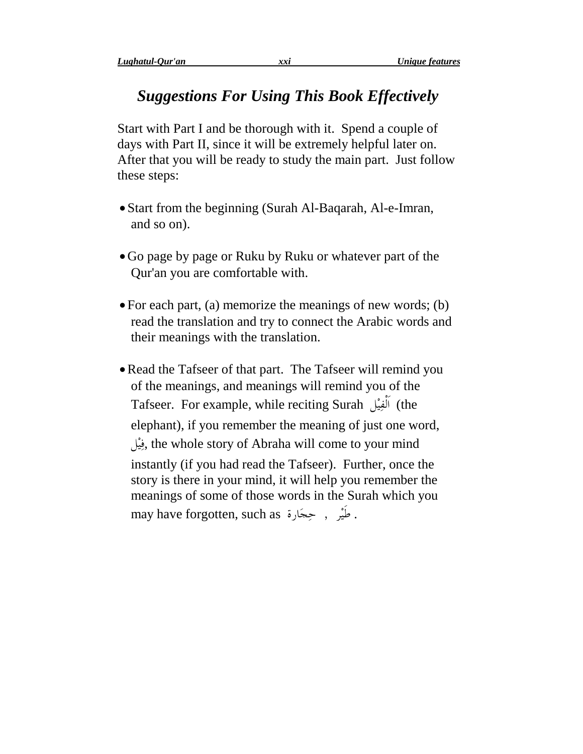## *Suggestions For Using This Book Effectively*

Start with Part I and be thorough with it. Spend a couple of days with Part II, since it will be extremely helpful later on. After that you will be ready to study the main part. Just follow these steps:

- Start from the beginning (Surah Al-Baqarah, Al-e-Imran, and so on).
- Go page by page or Ruku by Ruku or whatever part of the Qur'an you are comfortable with.
- For each part, (a) memorize the meanings of new words; (b) read the translation and try to connect the Arabic words and their meanings with the translation.
- Read the Tafseer of that part. The Tafseer will remind you of the meanings, and meanings will remind you of the Tafseer. For example, while reciting Surah الفِيْل (the elephant), if you remember the meaning of just one word, فِيْل), the whole story of Abraha will come to your mind instantly (if you had read the Tafseer). Further, once the story is there in your mind, it will help you remember the meanings of some of those words in the Surah which you may have forgotten, such as حجارة .